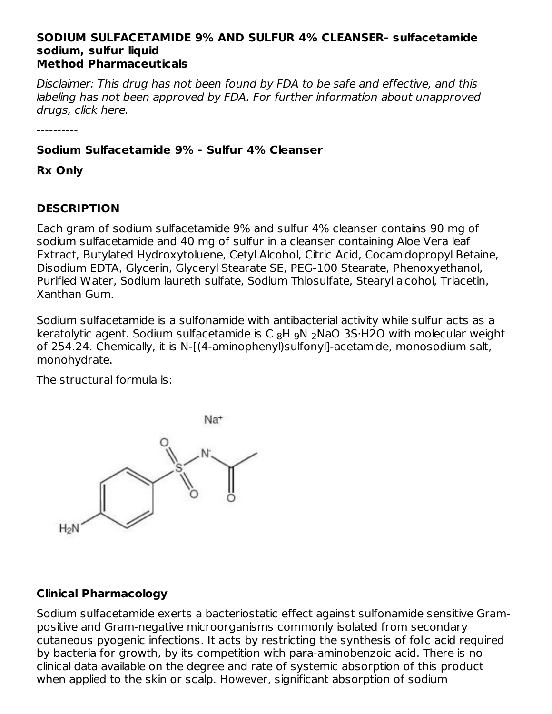#### **SODIUM SULFACETAMIDE 9% AND SULFUR 4% CLEANSER- sulfacetamide sodium, sulfur liquid Method Pharmaceuticals**

Disclaimer: This drug has not been found by FDA to be safe and effective, and this labeling has not been approved by FDA. For further information about unapproved drugs, click here.

----------

### **Sodium Sulfacetamide 9% - Sulfur 4% Cleanser**

**Rx Only**

## **DESCRIPTION**

Each gram of sodium sulfacetamide 9% and sulfur 4% cleanser contains 90 mg of sodium sulfacetamide and 40 mg of sulfur in a cleanser containing Aloe Vera leaf Extract, Butylated Hydroxytoluene, Cetyl Alcohol, Citric Acid, Cocamidopropyl Betaine, Disodium EDTA, Glycerin, Glyceryl Stearate SE, PEG-100 Stearate, Phenoxyethanol, Purified Water, Sodium laureth sulfate, Sodium Thiosulfate, Stearyl alcohol, Triacetin, Xanthan Gum.

Sodium sulfacetamide is a sulfonamide with antibacterial activity while sulfur acts as a keratolytic agent. Sodium sulfacetamide is C  $_8$ H  $_2$ N $_2$ NaO 3S·H2O with molecular weight of 254.24. Chemically, it is N-[(4-aminophenyl)sulfonyl]-acetamide, monosodium salt, monohydrate.

The structural formula is:



## **Clinical Pharmacology**

Sodium sulfacetamide exerts a bacteriostatic effect against sulfonamide sensitive Grampositive and Gram-negative microorganisms commonly isolated from secondary cutaneous pyogenic infections. It acts by restricting the synthesis of folic acid required by bacteria for growth, by its competition with para-aminobenzoic acid. There is no clinical data available on the degree and rate of systemic absorption of this product when applied to the skin or scalp. However, significant absorption of sodium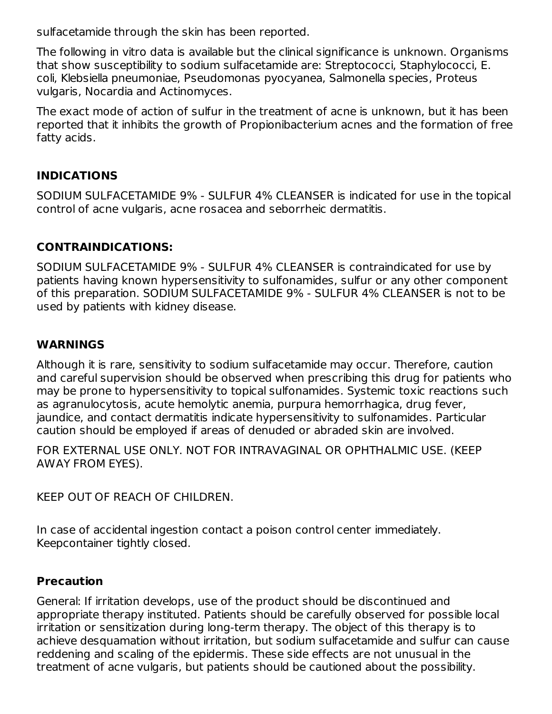sulfacetamide through the skin has been reported.

The following in vitro data is available but the clinical significance is unknown. Organisms that show susceptibility to sodium sulfacetamide are: Streptococci, Staphylococci, E. coli, Klebsiella pneumoniae, Pseudomonas pyocyanea, Salmonella species, Proteus vulgaris, Nocardia and Actinomyces.

The exact mode of action of sulfur in the treatment of acne is unknown, but it has been reported that it inhibits the growth of Propionibacterium acnes and the formation of free fatty acids.

### **INDICATIONS**

SODIUM SULFACETAMIDE 9% - SULFUR 4% CLEANSER is indicated for use in the topical control of acne vulgaris, acne rosacea and seborrheic dermatitis.

## **CONTRAINDICATIONS:**

SODIUM SULFACETAMIDE 9% - SULFUR 4% CLEANSER is contraindicated for use by patients having known hypersensitivity to sulfonamides, sulfur or any other component of this preparation. SODIUM SULFACETAMIDE 9% - SULFUR 4% CLEANSER is not to be used by patients with kidney disease.

#### **WARNINGS**

Although it is rare, sensitivity to sodium sulfacetamide may occur. Therefore, caution and careful supervision should be observed when prescribing this drug for patients who may be prone to hypersensitivity to topical sulfonamides. Systemic toxic reactions such as agranulocytosis, acute hemolytic anemia, purpura hemorrhagica, drug fever, jaundice, and contact dermatitis indicate hypersensitivity to sulfonamides. Particular caution should be employed if areas of denuded or abraded skin are involved.

FOR EXTERNAL USE ONLY. NOT FOR INTRAVAGINAL OR OPHTHALMIC USE. (KEEP AWAY FROM EYES).

KEEP OUT OF REACH OF CHILDREN.

In case of accidental ingestion contact a poison control center immediately. Keepcontainer tightly closed.

#### **Precaution**

General: If irritation develops, use of the product should be discontinued and appropriate therapy instituted. Patients should be carefully observed for possible local irritation or sensitization during long-term therapy. The object of this therapy is to achieve desquamation without irritation, but sodium sulfacetamide and sulfur can cause reddening and scaling of the epidermis. These side effects are not unusual in the treatment of acne vulgaris, but patients should be cautioned about the possibility.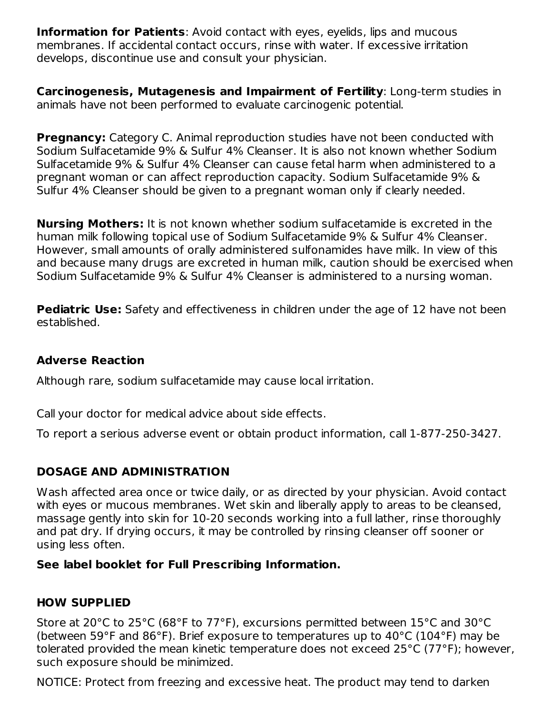**Information for Patients:** Avoid contact with eyes, eyelids, lips and mucous membranes. If accidental contact occurs, rinse with water. If excessive irritation develops, discontinue use and consult your physician.

**Carcinogenesis, Mutagenesis and Impairment of Fertility**: Long-term studies in animals have not been performed to evaluate carcinogenic potential.

**Pregnancy:** Category C. Animal reproduction studies have not been conducted with Sodium Sulfacetamide 9% & Sulfur 4% Cleanser. It is also not known whether Sodium Sulfacetamide 9% & Sulfur 4% Cleanser can cause fetal harm when administered to a pregnant woman or can affect reproduction capacity. Sodium Sulfacetamide 9% & Sulfur 4% Cleanser should be given to a pregnant woman only if clearly needed.

**Nursing Mothers:** It is not known whether sodium sulfacetamide is excreted in the human milk following topical use of Sodium Sulfacetamide 9% & Sulfur 4% Cleanser. However, small amounts of orally administered sulfonamides have milk. In view of this and because many drugs are excreted in human milk, caution should be exercised when Sodium Sulfacetamide 9% & Sulfur 4% Cleanser is administered to a nursing woman.

**Pediatric Use:** Safety and effectiveness in children under the age of 12 have not been established.

#### **Adverse Reaction**

Although rare, sodium sulfacetamide may cause local irritation.

Call your doctor for medical advice about side effects.

To report a serious adverse event or obtain product information, call 1-877-250-3427.

## **DOSAGE AND ADMINISTRATION**

Wash affected area once or twice daily, or as directed by your physician. Avoid contact with eyes or mucous membranes. Wet skin and liberally apply to areas to be cleansed, massage gently into skin for 10-20 seconds working into a full lather, rinse thoroughly and pat dry. If drying occurs, it may be controlled by rinsing cleanser off sooner or using less often.

## **See label booklet for Full Prescribing Information.**

## **HOW SUPPLIED**

Store at 20°C to 25°C (68°F to 77°F), excursions permitted between 15°C and 30°C (between 59°F and 86°F). Brief exposure to temperatures up to 40°C (104°F) may be tolerated provided the mean kinetic temperature does not exceed 25°C (77°F); however, such exposure should be minimized.

NOTICE: Protect from freezing and excessive heat. The product may tend to darken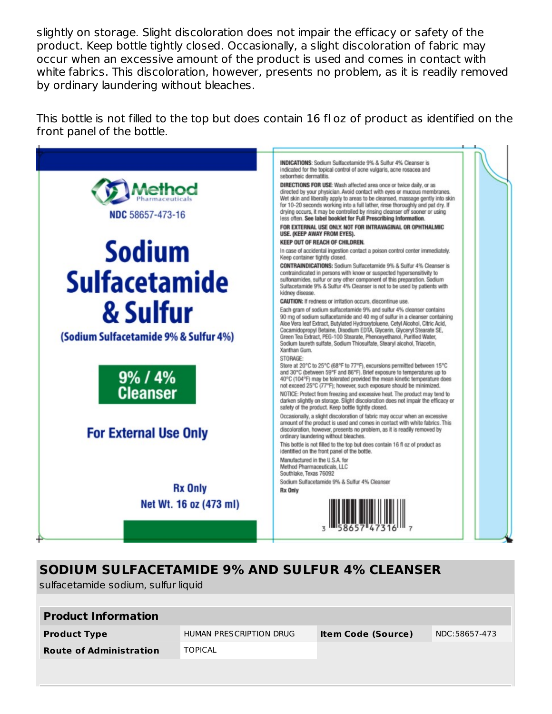slightly on storage. Slight discoloration does not impair the efficacy or safety of the product. Keep bottle tightly closed. Occasionally, a slight discoloration of fabric may occur when an excessive amount of the product is used and comes in contact with white fabrics. This discoloration, however, presents no problem, as it is readily removed by ordinary laundering without bleaches.

This bottle is not filled to the top but does contain 16 fl oz of product as identified on the front panel of the bottle.

|                                                   | <b>INDICATIONS:</b> Sodium Sulfacetamide 9% & Sulfur 4% Cleanser is<br>indicated for the topical control of acne vulgaris, acne rosacea and<br>seborrheic dermatitis.                                                                                                                                                                                                                                                                                                            |  |
|---------------------------------------------------|----------------------------------------------------------------------------------------------------------------------------------------------------------------------------------------------------------------------------------------------------------------------------------------------------------------------------------------------------------------------------------------------------------------------------------------------------------------------------------|--|
| <b>Aethod</b><br>NDC 58657-473-16                 | DIRECTIONS FOR USE: Wash affected area once or twice daily, or as<br>directed by your physician. Avoid contact with eyes or mucous membranes.<br>Wet skin and liberally apply to areas to be cleansed, massage gently into skin<br>for 10-20 seconds working into a full lather, rinse thoroughly and pat dry. If<br>drying occurs, it may be controlled by rinsing cleanser off sooner or using<br>less often. See label booklet for Full Prescribing Information.              |  |
|                                                   | FOR EXTERNAL USE ONLY. NOT FOR INTRAVAGINAL OR OPHTHALMIC<br>USE. (KEEP AWAY FROM EYES).                                                                                                                                                                                                                                                                                                                                                                                         |  |
|                                                   | <b>KEEP OUT OF REACH OF CHILDREN.</b>                                                                                                                                                                                                                                                                                                                                                                                                                                            |  |
| <b>Sodium</b>                                     | In case of accidental ingestion contact a poison control center immediately.<br>Keep container tightly closed.                                                                                                                                                                                                                                                                                                                                                                   |  |
| <b>Sulfacetamide</b>                              | <b>CONTRAINDICATIONS:</b> Sodium Sulfacetamide 9% & Sulfur 4% Cleanser is<br>contraindicated in persons with know or suspected hypersensitivity to<br>sulfonamides, sulfur or any other component of this preparation. Sodium<br>Sulfacetamide 9% & Sulfur 4% Cleanser is not to be used by patients with<br>kidney disease.                                                                                                                                                     |  |
|                                                   | <b>CAUTION:</b> If redness or irritation occurs, discontinue use.                                                                                                                                                                                                                                                                                                                                                                                                                |  |
| & Sulfur<br>(Sodium Sulfacetamide 9% & Sulfur 4%) | Each gram of sodium sulfacetamide 9% and sulfur 4% cleanser contains<br>90 mg of sodium sulfacetamide and 40 mg of sulfur in a cleanser containing<br>Aloe Vera leaf Extract, Butvlated Hydroxytoluene, Cetyl Alcohol, Citric Acid,<br>Cocamidopropyl Betaine, Disodium EDTA, Glycerin, Glyceryl Stearate SE,<br>Green Tea Extract, PEG-100 Stearate, Phenoxyethanol, Purified Water,<br>Sodium laureth sulfate, Sodium Thiosulfate, Stearyl alcohol, Triacetin,<br>Xanthan Gum. |  |
| $9\%$ / $4\%$                                     | STORAGE:<br>Store at 20°C to 25°C (68°F to 77°F), excursions permitted between 15°C<br>and 30°C (between 59°F and 86°F). Brief exposure to temperatures up to<br>40°C (104°F) may be tolerated provided the mean kinetic temperature does<br>not exceed 25°C (77°F); however, such exposure should be minimized.                                                                                                                                                                 |  |
| <b>Cleanser</b>                                   | NOTICE: Protect from freezing and excessive heat. The product may tend to<br>darken slightly on storage. Slight discoloration does not impair the efficacy or<br>safety of the product. Keep bottle tightly closed.                                                                                                                                                                                                                                                              |  |
| <b>For External Use Only</b>                      | Occasionally, a slight discoloration of fabric may occur when an excessive<br>amount of the product is used and comes in contact with white fabrics. This<br>discoloration, however, presents no problem, as it is readily removed by<br>ordinary laundering without bleaches.                                                                                                                                                                                                   |  |
|                                                   | This bottle is not filled to the top but does contain 16 fl oz of product as<br>identified on the front panel of the bottle.                                                                                                                                                                                                                                                                                                                                                     |  |
|                                                   | Manufactured in the U.S.A. for<br>Method Pharmaceuticals, LLC<br>Southlake, Texas 76092                                                                                                                                                                                                                                                                                                                                                                                          |  |
| <b>Rx Only</b>                                    | Sodium Sulfacetamide 9% & Sulfur 4% Cleanser                                                                                                                                                                                                                                                                                                                                                                                                                                     |  |
|                                                   | Rx Only                                                                                                                                                                                                                                                                                                                                                                                                                                                                          |  |
| Net Wt. 16 oz (473 ml)                            |                                                                                                                                                                                                                                                                                                                                                                                                                                                                                  |  |
|                                                   |                                                                                                                                                                                                                                                                                                                                                                                                                                                                                  |  |

# **SODIUM SULFACETAMIDE 9% AND SULFUR 4% CLEANSER**

sulfacetamide sodium, sulfur liquid

| <b>Product Information</b>     |                         |                           |               |  |  |  |  |  |
|--------------------------------|-------------------------|---------------------------|---------------|--|--|--|--|--|
| <b>Product Type</b>            | HUMAN PRESCRIPTION DRUG | <b>Item Code (Source)</b> | NDC:58657-473 |  |  |  |  |  |
| <b>Route of Administration</b> | <b>TOPICAL</b>          |                           |               |  |  |  |  |  |
|                                |                         |                           |               |  |  |  |  |  |
|                                |                         |                           |               |  |  |  |  |  |